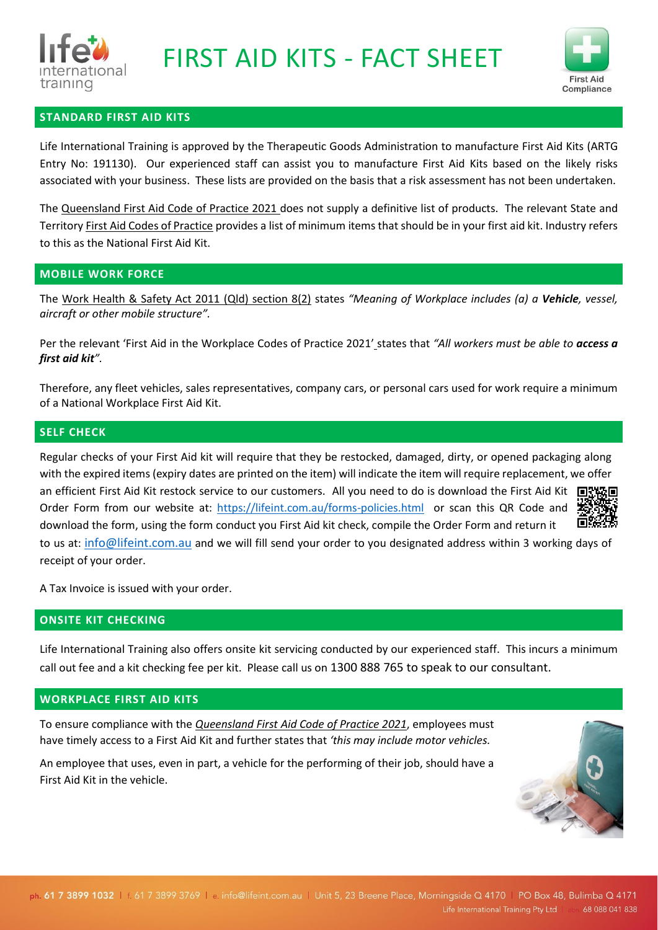



# **STANDARD FIRST AID KITS**

Life International Training is approved by the Therapeutic Goods Administration to manufacture First Aid Kits (ARTG Entry No: 191130). Our experienced staff can assist you to manufacture First Aid Kits based on the likely risks associated with your business. These lists are provided on the basis that a risk assessment has not been undertaken.

The Queensland First Aid Code of Practice 2021 does not supply a definitive list of products. The relevant State and Territory First Aid Codes of Practice provides a list of minimum items that should be in your first aid kit. Industry refers to this as the National First Aid Kit.

### **MOBILE WORK FORCE**

The Work Health & Safety Act 2011 (Qld) section 8(2) states *"Meaning of Workplace includes (a) a Vehicle, vessel, aircraft or other mobile structure".*

Per the relevant 'First Aid in the Workplace Codes of Practice 2021' states that *"All workers must be able to access a first aid kit".*

Therefore, any fleet vehicles, sales representatives, company cars, or personal cars used for work require a minimum of a National Workplace First Aid Kit.

### **SELF CHECK**

Regular checks of your First Aid kit will require that they be restocked, damaged, dirty, or opened packaging along with the expired items (expiry dates are printed on the item) will indicate the item will require replacement, we offer an efficient First Aid Kit restock service to our customers. All you need to do is download the First Aid Kit 间歇轻向 Order Form from our website at:<https://lifeint.com.au/forms-policies.html> or scan this QR Code and download the form, using the form conduct you First Aid kit check, compile the Order Form and return it ПŁ to us at: [info@lifeint.com.au](mailto:info@lifeint.com.au) and we will fill send your order to you designated address within 3 working days of receipt of your order.

A Tax Invoice is issued with your order.

#### **ONSITE KIT CHECKING**

Life International Training also offers onsite kit servicing conducted by our experienced staff. This incurs a minimum call out fee and a kit checking fee per kit. Please call us on 1300 888 765 to speak to our consultant.

#### **WORKPLACE FIRST AID KITS**

To ensure compliance with the *Queensland First Aid Code of Practice 2021*, employees must have timely access to a First Aid Kit and further states that *'this may include motor vehicles.*

An employee that uses, even in part, a vehicle for the performing of their job, should have a First Aid Kit in the vehicle.